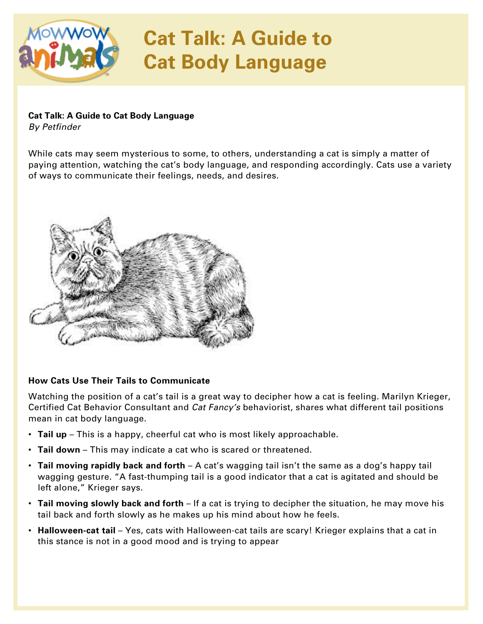

# **Cat Talk: A Guide to Cat Body Language**

### **Cat Talk: A Guide to Cat Body Language**

*By Petfinder* 

While cats may seem mysterious to some, to others, understanding a cat is simply a matter of paying attention, watching the cat's body language, and responding accordingly. Cats use a variety of ways to communicate their feelings, needs, and desires.



### **How Cats Use Their Tails to Communicate**

Watching the position of a cat's tail is a great way to decipher how a cat is feeling. Marilyn Krieger, Certified Cat Behavior Consultant and *Cat Fancy's* behaviorist, shares what different tail positions mean in cat body language.

- **Tail up** This is a happy, cheerful cat who is most likely approachable.
- **Tail down** This may indicate a cat who is scared or threatened.
- **Tail moving rapidly back and forth** A cat's wagging tail isn't the same as a dog's happy tail wagging gesture. "A fast-thumping tail is a good indicator that a cat is agitated and should be left alone," Krieger says.
- **Tail moving slowly back and forth** If a cat is trying to decipher the situation, he may move his tail back and forth slowly as he makes up his mind about how he feels.
- **Halloween-cat tail** Yes, cats with Halloween-cat tails are scary! Krieger explains that a cat in this stance is not in a good mood and is trying to appear